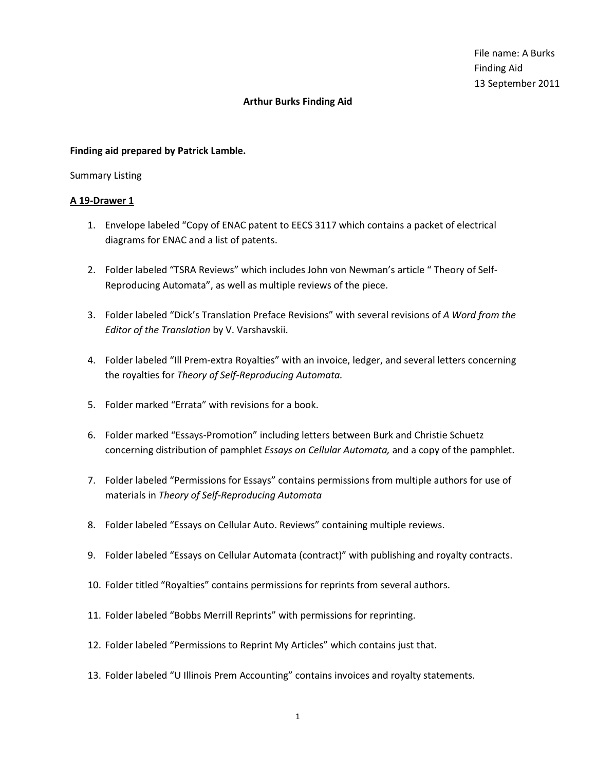#### **Finding aid prepared by Patrick Lamble.**

#### Summary Listing

- 1. Envelope labeled "Copy of ENAC patent to EECS 3117 which contains a packet of electrical diagrams for ENAC and a list of patents.
- 2. Folder labeled "TSRA Reviews" which includes John von Newman's article " Theory of Self-Reproducing Automata", as well as multiple reviews of the piece.
- 3. Folder labeled "Dick's Translation Preface Revisions" with several revisions of *A Word from the Editor of the Translation* by V. Varshavskii.
- 4. Folder labeled "Ill Prem-extra Royalties" with an invoice, ledger, and several letters concerning the royalties for *Theory of Self-Reproducing Automata.*
- 5. Folder marked "Errata" with revisions for a book.
- 6. Folder marked "Essays-Promotion" including letters between Burk and Christie Schuetz concerning distribution of pamphlet *Essays on Cellular Automata,* and a copy of the pamphlet.
- 7. Folder labeled "Permissions for Essays" contains permissions from multiple authors for use of materials in *Theory of Self-Reproducing Automata*
- 8. Folder labeled "Essays on Cellular Auto. Reviews" containing multiple reviews.
- 9. Folder labeled "Essays on Cellular Automata (contract)" with publishing and royalty contracts.
- 10. Folder titled "Royalties" contains permissions for reprints from several authors.
- 11. Folder labeled "Bobbs Merrill Reprints" with permissions for reprinting.
- 12. Folder labeled "Permissions to Reprint My Articles" which contains just that.
- 13. Folder labeled "U Illinois Prem Accounting" contains invoices and royalty statements.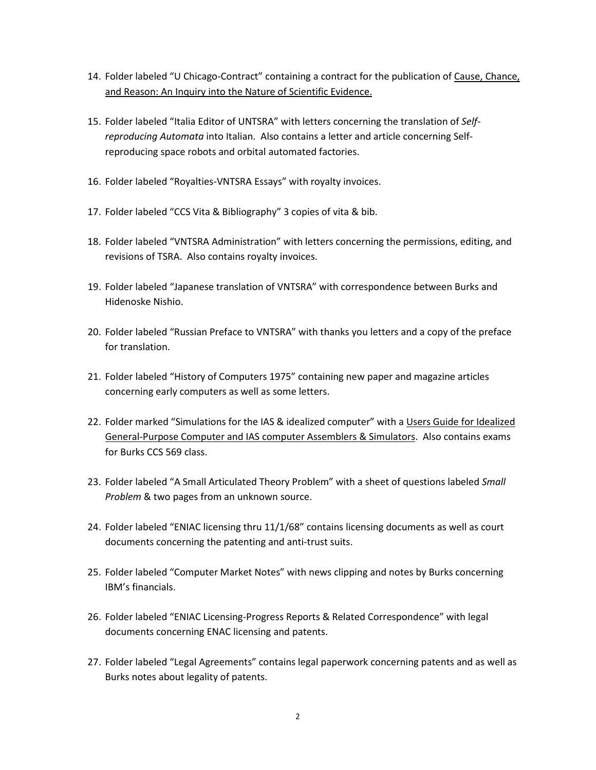- 14. Folder labeled "U Chicago-Contract" containing a contract for the publication of Cause, Chance, and Reason: An Inquiry into the Nature of Scientific Evidence.
- 15. Folder labeled "Italia Editor of UNTSRA" with letters concerning the translation of *Selfreproducing Automata* into Italian. Also contains a letter and article concerning Selfreproducing space robots and orbital automated factories.
- 16. Folder labeled "Royalties-VNTSRA Essays" with royalty invoices.
- 17. Folder labeled "CCS Vita & Bibliography" 3 copies of vita & bib.
- 18. Folder labeled "VNTSRA Administration" with letters concerning the permissions, editing, and revisions of TSRA. Also contains royalty invoices.
- 19. Folder labeled "Japanese translation of VNTSRA" with correspondence between Burks and Hidenoske Nishio.
- 20. Folder labeled "Russian Preface to VNTSRA" with thanks you letters and a copy of the preface for translation.
- 21. Folder labeled "History of Computers 1975" containing new paper and magazine articles concerning early computers as well as some letters.
- 22. Folder marked "Simulations for the IAS & idealized computer" with a Users Guide for Idealized General-Purpose Computer and IAS computer Assemblers & Simulators. Also contains exams for Burks CCS 569 class.
- 23. Folder labeled "A Small Articulated Theory Problem" with a sheet of questions labeled *Small Problem* & two pages from an unknown source.
- 24. Folder labeled "ENIAC licensing thru 11/1/68" contains licensing documents as well as court documents concerning the patenting and anti-trust suits.
- 25. Folder labeled "Computer Market Notes" with news clipping and notes by Burks concerning IBM's financials.
- 26. Folder labeled "ENIAC Licensing-Progress Reports & Related Correspondence" with legal documents concerning ENAC licensing and patents.
- 27. Folder labeled "Legal Agreements" contains legal paperwork concerning patents and as well as Burks notes about legality of patents.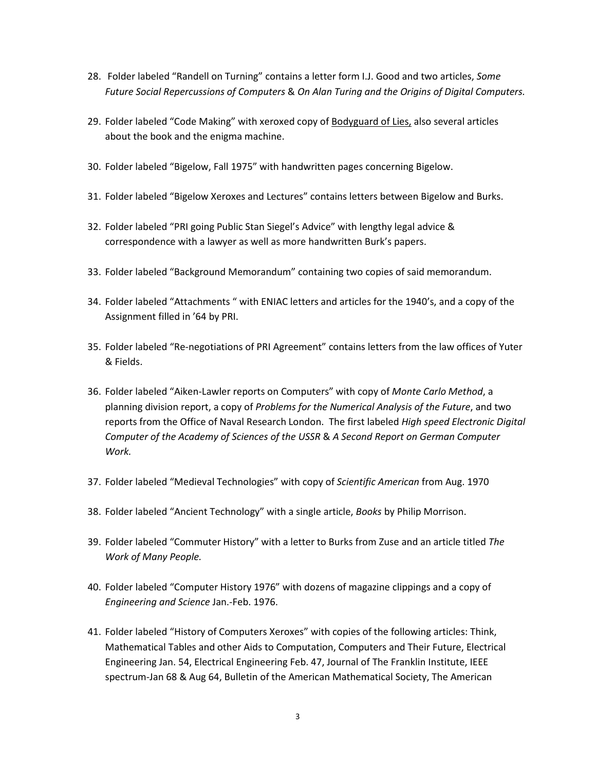- 28. Folder labeled "Randell on Turning" contains a letter form I.J. Good and two articles, *Some Future Social Repercussions of Computers* & *On Alan Turing and the Origins of Digital Computers.*
- 29. Folder labeled "Code Making" with xeroxed copy of **Bodyguard of Lies**, also several articles about the book and the enigma machine.
- 30. Folder labeled "Bigelow, Fall 1975" with handwritten pages concerning Bigelow.
- 31. Folder labeled "Bigelow Xeroxes and Lectures" contains letters between Bigelow and Burks.
- 32. Folder labeled "PRI going Public Stan Siegel's Advice" with lengthy legal advice & correspondence with a lawyer as well as more handwritten Burk's papers.
- 33. Folder labeled "Background Memorandum" containing two copies of said memorandum.
- 34. Folder labeled "Attachments " with ENIAC letters and articles for the 1940's, and a copy of the Assignment filled in '64 by PRI.
- 35. Folder labeled "Re-negotiations of PRI Agreement" contains letters from the law offices of Yuter & Fields.
- 36. Folder labeled "Aiken-Lawler reports on Computers" with copy of *Monte Carlo Method*, a planning division report, a copy of *Problems for the Numerical Analysis of the Future*, and two reports from the Office of Naval Research London. The first labeled *High speed Electronic Digital Computer of the Academy of Sciences of the USSR* & *A Second Report on German Computer Work.*
- 37. Folder labeled "Medieval Technologies" with copy of *Scientific American* from Aug. 1970
- 38. Folder labeled "Ancient Technology" with a single article, *Books* by Philip Morrison.
- 39. Folder labeled "Commuter History" with a letter to Burks from Zuse and an article titled *The Work of Many People.*
- 40. Folder labeled "Computer History 1976" with dozens of magazine clippings and a copy of *Engineering and Science* Jan.-Feb. 1976.
- 41. Folder labeled "History of Computers Xeroxes" with copies of the following articles: Think, Mathematical Tables and other Aids to Computation, Computers and Their Future, Electrical Engineering Jan. 54, Electrical Engineering Feb. 47, Journal of The Franklin Institute, IEEE spectrum-Jan 68 & Aug 64, Bulletin of the American Mathematical Society, The American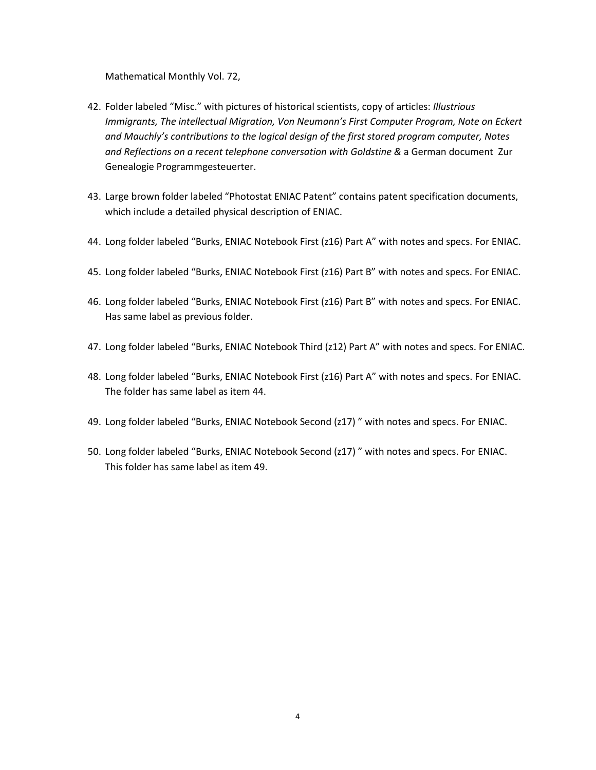Mathematical Monthly Vol. 72,

- 42. Folder labeled "Misc." with pictures of historical scientists, copy of articles: *Illustrious Immigrants, The intellectual Migration, Von Neumann's First Computer Program, Note on Eckert and Mauchly's contributions to the logical design of the first stored program computer, Notes and Reflections on a recent telephone conversation with Goldstine &* a German document Zur Genealogie Programmgesteuerter.
- 43. Large brown folder labeled "Photostat ENIAC Patent" contains patent specification documents, which include a detailed physical description of ENIAC.
- 44. Long folder labeled "Burks, ENIAC Notebook First (z16) Part A" with notes and specs. For ENIAC.
- 45. Long folder labeled "Burks, ENIAC Notebook First (z16) Part B" with notes and specs. For ENIAC.
- 46. Long folder labeled "Burks, ENIAC Notebook First (z16) Part B" with notes and specs. For ENIAC. Has same label as previous folder.
- 47. Long folder labeled "Burks, ENIAC Notebook Third (z12) Part A" with notes and specs. For ENIAC.
- 48. Long folder labeled "Burks, ENIAC Notebook First (z16) Part A" with notes and specs. For ENIAC. The folder has same label as item 44.
- 49. Long folder labeled "Burks, ENIAC Notebook Second (z17) " with notes and specs. For ENIAC.
- 50. Long folder labeled "Burks, ENIAC Notebook Second (z17) " with notes and specs. For ENIAC. This folder has same label as item 49.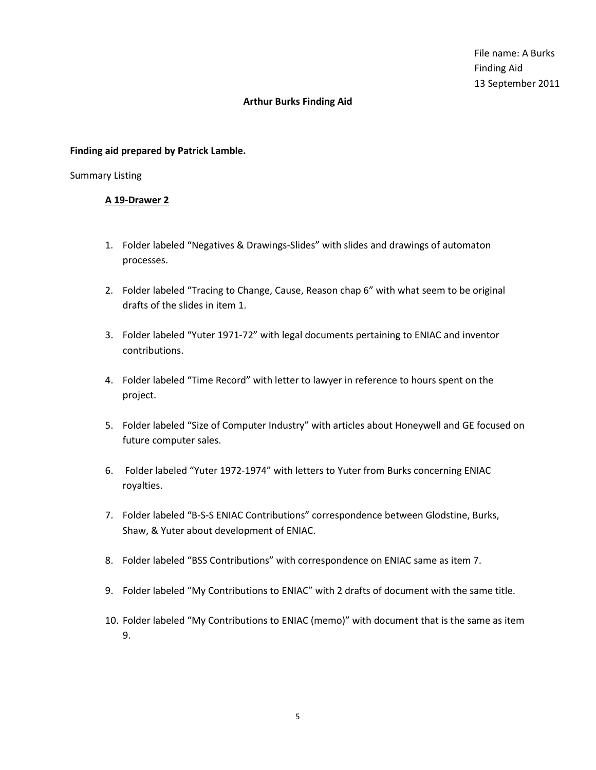#### **Finding aid prepared by Patrick Lamble.**

#### Summary Listing

- 1. Folder labeled "Negatives & Drawings-Slides" with slides and drawings of automaton processes.
- 2. Folder labeled "Tracing to Change, Cause, Reason chap 6" with what seem to be original drafts of the slides in item 1.
- 3. Folder labeled "Yuter 1971-72" with legal documents pertaining to ENIAC and inventor contributions.
- 4. Folder labeled "Time Record" with letter to lawyer in reference to hours spent on the project.
- 5. Folder labeled "Size of Computer Industry" with articles about Honeywell and GE focused on future computer sales.
- 6. Folder labeled "Yuter 1972-1974" with letters to Yuter from Burks concerning ENIAC royalties.
- 7. Folder labeled "B-S-S ENIAC Contributions" correspondence between Glodstine, Burks, Shaw, & Yuter about development of ENIAC.
- 8. Folder labeled "BSS Contributions" with correspondence on ENIAC same as item 7.
- 9. Folder labeled "My Contributions to ENIAC" with 2 drafts of document with the same title.
- 10. Folder labeled "My Contributions to ENIAC (memo)" with document that is the same as item 9.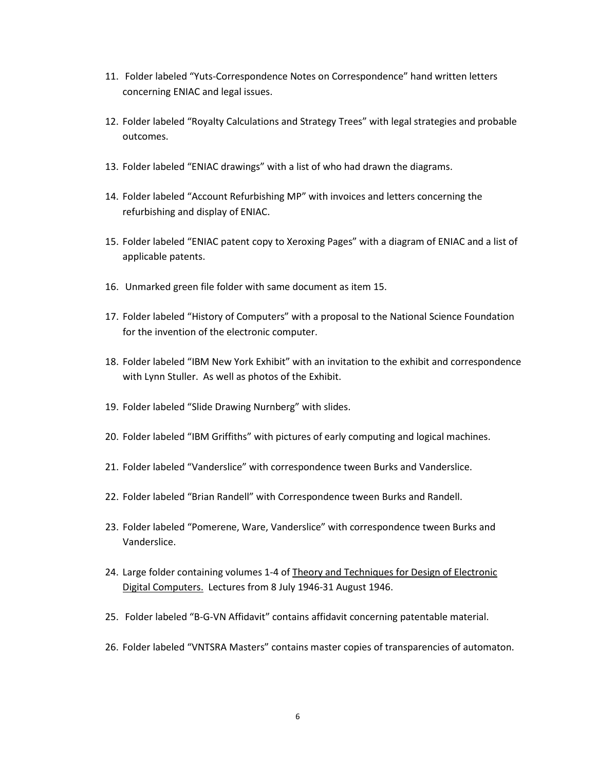- 11. Folder labeled "Yuts-Correspondence Notes on Correspondence" hand written letters concerning ENIAC and legal issues.
- 12. Folder labeled "Royalty Calculations and Strategy Trees" with legal strategies and probable outcomes.
- 13. Folder labeled "ENIAC drawings" with a list of who had drawn the diagrams.
- 14. Folder labeled "Account Refurbishing MP" with invoices and letters concerning the refurbishing and display of ENIAC.
- 15. Folder labeled "ENIAC patent copy to Xeroxing Pages" with a diagram of ENIAC and a list of applicable patents.
- 16. Unmarked green file folder with same document as item 15.
- 17. Folder labeled "History of Computers" with a proposal to the National Science Foundation for the invention of the electronic computer.
- 18. Folder labeled "IBM New York Exhibit" with an invitation to the exhibit and correspondence with Lynn Stuller. As well as photos of the Exhibit.
- 19. Folder labeled "Slide Drawing Nurnberg" with slides.
- 20. Folder labeled "IBM Griffiths" with pictures of early computing and logical machines.
- 21. Folder labeled "Vanderslice" with correspondence tween Burks and Vanderslice.
- 22. Folder labeled "Brian Randell" with Correspondence tween Burks and Randell.
- 23. Folder labeled "Pomerene, Ware, Vanderslice" with correspondence tween Burks and Vanderslice.
- 24. Large folder containing volumes 1-4 of Theory and Techniques for Design of Electronic Digital Computers. Lectures from 8 July 1946-31 August 1946.
- 25. Folder labeled "B-G-VN Affidavit" contains affidavit concerning patentable material.
- 26. Folder labeled "VNTSRA Masters" contains master copies of transparencies of automaton.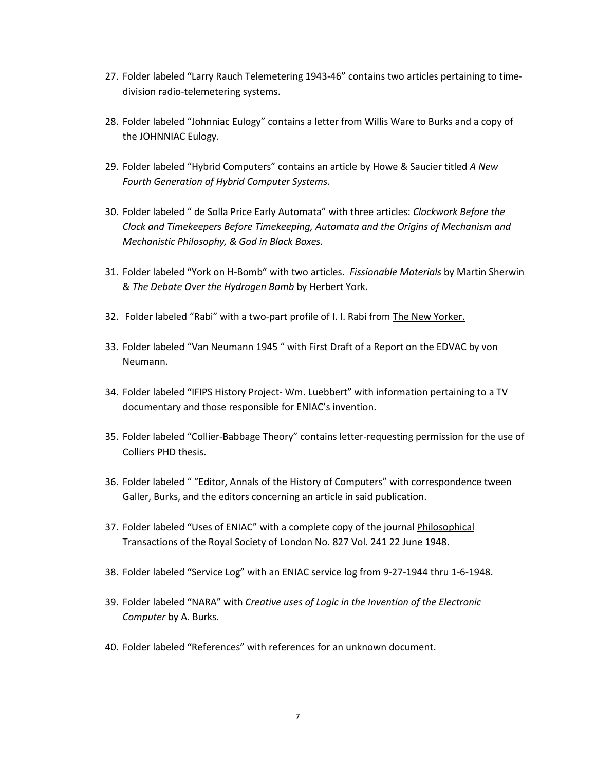- 27. Folder labeled "Larry Rauch Telemetering 1943-46" contains two articles pertaining to timedivision radio-telemetering systems.
- 28. Folder labeled "Johnniac Eulogy" contains a letter from Willis Ware to Burks and a copy of the JOHNNIAC Eulogy.
- 29. Folder labeled "Hybrid Computers" contains an article by Howe & Saucier titled *A New Fourth Generation of Hybrid Computer Systems.*
- 30. Folder labeled " de Solla Price Early Automata" with three articles: *Clockwork Before the Clock and Timekeepers Before Timekeeping, Automata and the Origins of Mechanism and Mechanistic Philosophy, & God in Black Boxes.*
- 31. Folder labeled "York on H-Bomb" with two articles. *Fissionable Materials* by Martin Sherwin & *The Debate Over the Hydrogen Bomb* by Herbert York.
- 32. Folder labeled "Rabi" with a two-part profile of I. I. Rabi from The New Yorker.
- 33. Folder labeled "Van Neumann 1945 " with First Draft of a Report on the EDVAC by von Neumann.
- 34. Folder labeled "IFIPS History Project- Wm. Luebbert" with information pertaining to a TV documentary and those responsible for ENIAC's invention.
- 35. Folder labeled "Collier-Babbage Theory" contains letter-requesting permission for the use of Colliers PHD thesis.
- 36. Folder labeled " "Editor, Annals of the History of Computers" with correspondence tween Galler, Burks, and the editors concerning an article in said publication.
- 37. Folder labeled "Uses of ENIAC" with a complete copy of the journal Philosophical Transactions of the Royal Society of London No. 827 Vol. 241 22 June 1948.
- 38. Folder labeled "Service Log" with an ENIAC service log from 9-27-1944 thru 1-6-1948.
- 39. Folder labeled "NARA" with *Creative uses of Logic in the Invention of the Electronic Computer* by A. Burks.
- 40. Folder labeled "References" with references for an unknown document.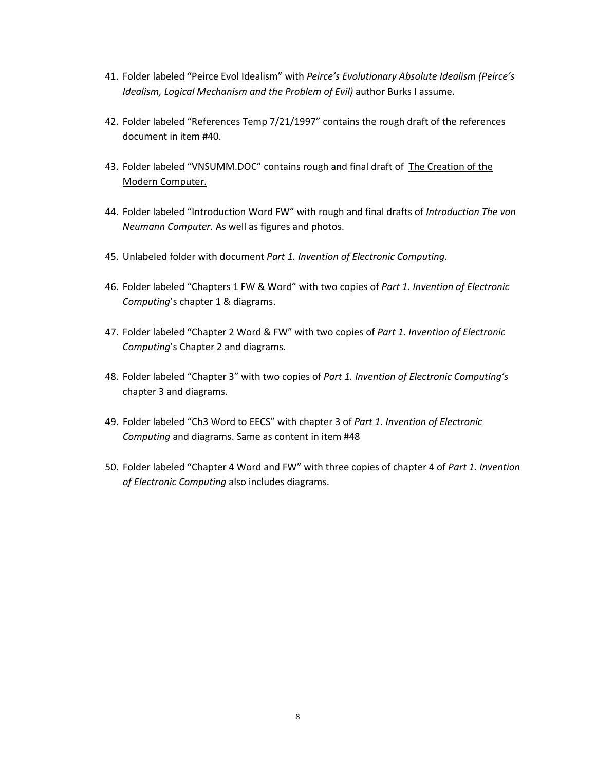- 41. Folder labeled "Peirce Evol Idealism" with *Peirce's Evolutionary Absolute Idealism (Peirce's Idealism, Logical Mechanism and the Problem of Evil)* author Burks I assume.
- 42. Folder labeled "References Temp 7/21/1997" contains the rough draft of the references document in item #40.
- 43. Folder labeled "VNSUMM.DOC" contains rough and final draft of The Creation of the Modern Computer.
- 44. Folder labeled "Introduction Word FW" with rough and final drafts of *Introduction The von Neumann Computer.* As well as figures and photos.
- 45. Unlabeled folder with document *Part 1. Invention of Electronic Computing.*
- 46. Folder labeled "Chapters 1 FW & Word" with two copies of *Part 1. Invention of Electronic Computing*'s chapter 1 & diagrams.
- 47. Folder labeled "Chapter 2 Word & FW" with two copies of *Part 1. Invention of Electronic Computing*'s Chapter 2 and diagrams.
- 48. Folder labeled "Chapter 3" with two copies of *Part 1. Invention of Electronic Computing's*  chapter 3 and diagrams.
- 49. Folder labeled "Ch3 Word to EECS" with chapter 3 of *Part 1. Invention of Electronic Computing* and diagrams. Same as content in item #48
- 50. Folder labeled "Chapter 4 Word and FW" with three copies of chapter 4 of *Part 1. Invention of Electronic Computing* also includes diagrams.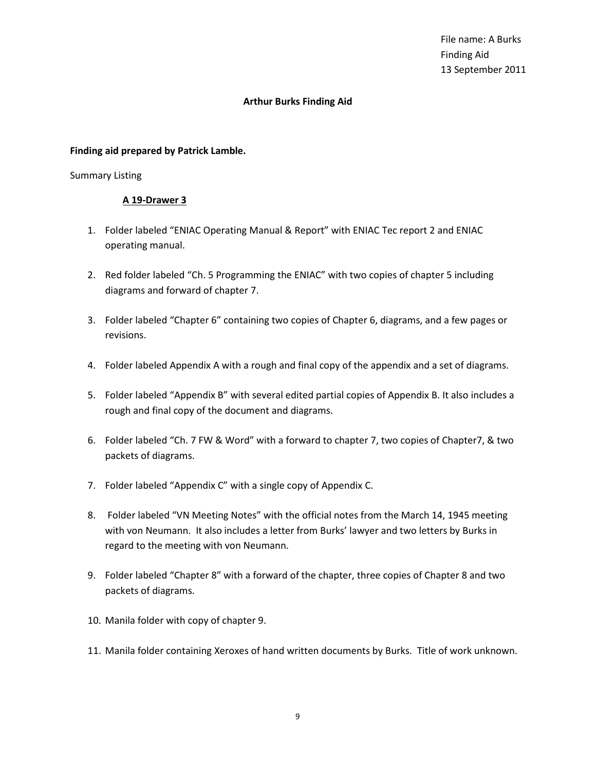File name: A Burks Finding Aid 13 September 2011

# **Arthur Burks Finding Aid**

## **Finding aid prepared by Patrick Lamble.**

## Summary Listing

- 1. Folder labeled "ENIAC Operating Manual & Report" with ENIAC Tec report 2 and ENIAC operating manual.
- 2. Red folder labeled "Ch. 5 Programming the ENIAC" with two copies of chapter 5 including diagrams and forward of chapter 7.
- 3. Folder labeled "Chapter 6" containing two copies of Chapter 6, diagrams, and a few pages or revisions.
- 4. Folder labeled Appendix A with a rough and final copy of the appendix and a set of diagrams.
- 5. Folder labeled "Appendix B" with several edited partial copies of Appendix B. It also includes a rough and final copy of the document and diagrams.
- 6. Folder labeled "Ch. 7 FW & Word" with a forward to chapter 7, two copies of Chapter7, & two packets of diagrams.
- 7. Folder labeled "Appendix C" with a single copy of Appendix C.
- 8. Folder labeled "VN Meeting Notes" with the official notes from the March 14, 1945 meeting with von Neumann. It also includes a letter from Burks' lawyer and two letters by Burks in regard to the meeting with von Neumann.
- 9. Folder labeled "Chapter 8" with a forward of the chapter, three copies of Chapter 8 and two packets of diagrams.
- 10. Manila folder with copy of chapter 9.
- 11. Manila folder containing Xeroxes of hand written documents by Burks. Title of work unknown.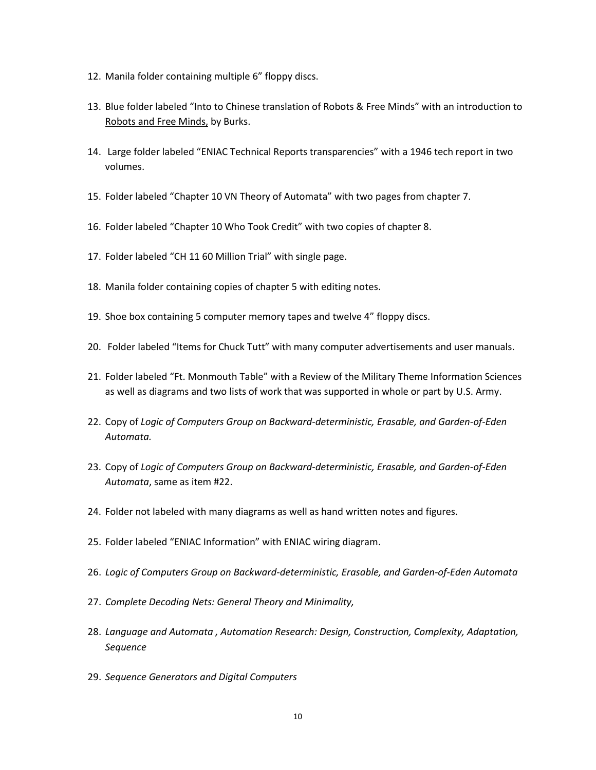- 12. Manila folder containing multiple 6" floppy discs.
- 13. Blue folder labeled "Into to Chinese translation of Robots & Free Minds" with an introduction to Robots and Free Minds, by Burks.
- 14. Large folder labeled "ENIAC Technical Reports transparencies" with a 1946 tech report in two volumes.
- 15. Folder labeled "Chapter 10 VN Theory of Automata" with two pages from chapter 7.
- 16. Folder labeled "Chapter 10 Who Took Credit" with two copies of chapter 8.
- 17. Folder labeled "CH 11 60 Million Trial" with single page.
- 18. Manila folder containing copies of chapter 5 with editing notes.
- 19. Shoe box containing 5 computer memory tapes and twelve 4" floppy discs.
- 20. Folder labeled "Items for Chuck Tutt" with many computer advertisements and user manuals.
- 21. Folder labeled "Ft. Monmouth Table" with a Review of the Military Theme Information Sciences as well as diagrams and two lists of work that was supported in whole or part by U.S. Army.
- 22. Copy of *Logic of Computers Group on Backward-deterministic, Erasable, and Garden-of-Eden Automata.*
- 23. Copy of *Logic of Computers Group on Backward-deterministic, Erasable, and Garden-of-Eden Automata*, same as item #22.
- 24. Folder not labeled with many diagrams as well as hand written notes and figures.
- 25. Folder labeled "ENIAC Information" with ENIAC wiring diagram.
- 26. *Logic of Computers Group on Backward-deterministic, Erasable, and Garden-of-Eden Automata*
- 27. *Complete Decoding Nets: General Theory and Minimality,*
- 28. *Language and Automata , Automation Research: Design, Construction, Complexity, Adaptation, Sequence*
- 29. *Sequence Generators and Digital Computers*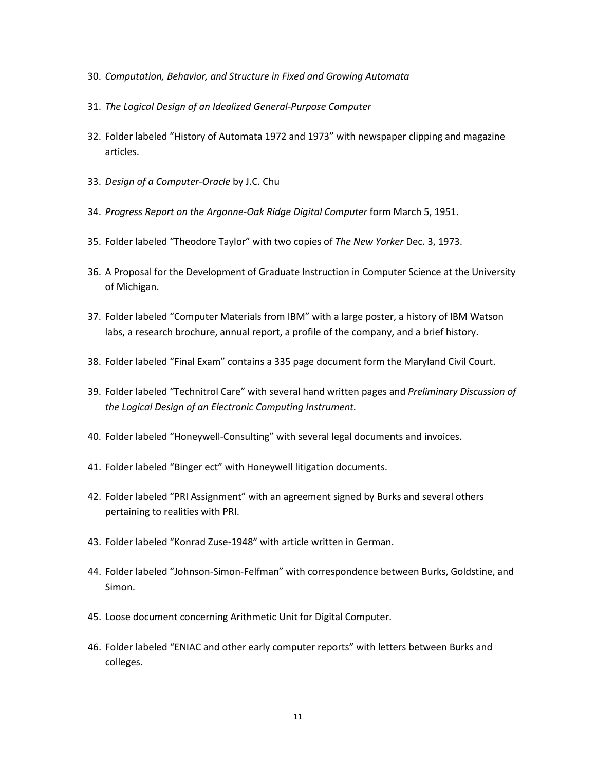- 30. *Computation, Behavior, and Structure in Fixed and Growing Automata*
- 31. *The Logical Design of an Idealized General-Purpose Computer*
- 32. Folder labeled "History of Automata 1972 and 1973" with newspaper clipping and magazine articles.
- 33. *Design of a Computer-Oracle* by J.C. Chu
- 34. *Progress Report on the Argonne-Oak Ridge Digital Computer* form March 5, 1951.
- 35. Folder labeled "Theodore Taylor" with two copies of *The New Yorker* Dec. 3, 1973.
- 36. A Proposal for the Development of Graduate Instruction in Computer Science at the University of Michigan.
- 37. Folder labeled "Computer Materials from IBM" with a large poster, a history of IBM Watson labs, a research brochure, annual report, a profile of the company, and a brief history.
- 38. Folder labeled "Final Exam" contains a 335 page document form the Maryland Civil Court.
- 39. Folder labeled "Technitrol Care" with several hand written pages and *Preliminary Discussion of the Logical Design of an Electronic Computing Instrument.*
- 40. Folder labeled "Honeywell-Consulting" with several legal documents and invoices.
- 41. Folder labeled "Binger ect" with Honeywell litigation documents.
- 42. Folder labeled "PRI Assignment" with an agreement signed by Burks and several others pertaining to realities with PRI.
- 43. Folder labeled "Konrad Zuse-1948" with article written in German.
- 44. Folder labeled "Johnson-Simon-Felfman" with correspondence between Burks, Goldstine, and Simon.
- 45. Loose document concerning Arithmetic Unit for Digital Computer.
- 46. Folder labeled "ENIAC and other early computer reports" with letters between Burks and colleges.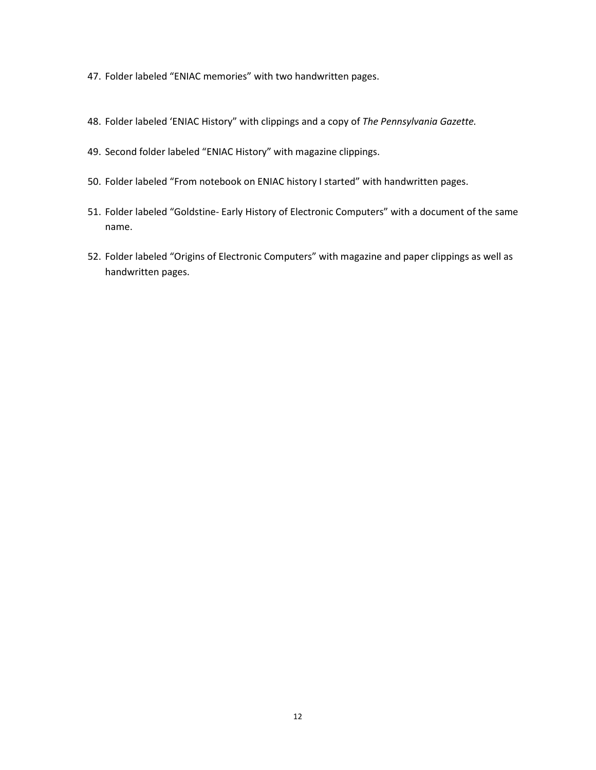- 47. Folder labeled "ENIAC memories" with two handwritten pages.
- 48. Folder labeled 'ENIAC History" with clippings and a copy of *The Pennsylvania Gazette.*
- 49. Second folder labeled "ENIAC History" with magazine clippings.
- 50. Folder labeled "From notebook on ENIAC history I started" with handwritten pages.
- 51. Folder labeled "Goldstine- Early History of Electronic Computers" with a document of the same name.
- 52. Folder labeled "Origins of Electronic Computers" with magazine and paper clippings as well as handwritten pages.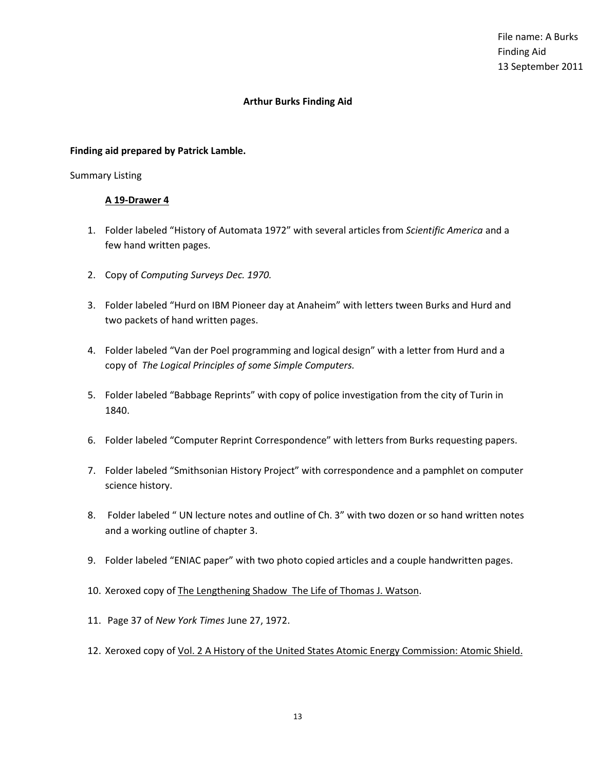## **Finding aid prepared by Patrick Lamble.**

## Summary Listing

- 1. Folder labeled "History of Automata 1972" with several articles from *Scientific America* and a few hand written pages.
- 2. Copy of *Computing Surveys Dec. 1970.*
- 3. Folder labeled "Hurd on IBM Pioneer day at Anaheim" with letters tween Burks and Hurd and two packets of hand written pages.
- 4. Folder labeled "Van der Poel programming and logical design" with a letter from Hurd and a copy of *The Logical Principles of some Simple Computers.*
- 5. Folder labeled "Babbage Reprints" with copy of police investigation from the city of Turin in 1840.
- 6. Folder labeled "Computer Reprint Correspondence" with letters from Burks requesting papers.
- 7. Folder labeled "Smithsonian History Project" with correspondence and a pamphlet on computer science history.
- 8. Folder labeled " UN lecture notes and outline of Ch. 3" with two dozen or so hand written notes and a working outline of chapter 3.
- 9. Folder labeled "ENIAC paper" with two photo copied articles and a couple handwritten pages.
- 10. Xeroxed copy of The Lengthening Shadow The Life of Thomas J. Watson.
- 11. Page 37 of *New York Times* June 27, 1972.
- 12. Xeroxed copy of Vol. 2 A History of the United States Atomic Energy Commission: Atomic Shield.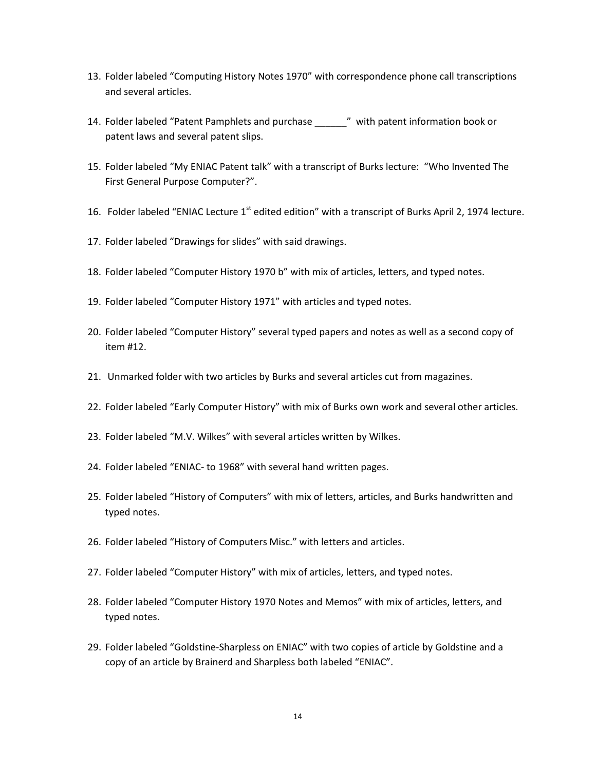- 13. Folder labeled "Computing History Notes 1970" with correspondence phone call transcriptions and several articles.
- 14. Folder labeled "Patent Pamphlets and purchase \_\_\_\_\_\_" with patent information book or patent laws and several patent slips.
- 15. Folder labeled "My ENIAC Patent talk" with a transcript of Burks lecture: "Who Invented The First General Purpose Computer?".
- 16. Folder labeled "ENIAC Lecture 1<sup>st</sup> edited edition" with a transcript of Burks April 2, 1974 lecture.
- 17. Folder labeled "Drawings for slides" with said drawings.
- 18. Folder labeled "Computer History 1970 b" with mix of articles, letters, and typed notes.
- 19. Folder labeled "Computer History 1971" with articles and typed notes.
- 20. Folder labeled "Computer History" several typed papers and notes as well as a second copy of item #12.
- 21. Unmarked folder with two articles by Burks and several articles cut from magazines.
- 22. Folder labeled "Early Computer History" with mix of Burks own work and several other articles.
- 23. Folder labeled "M.V. Wilkes" with several articles written by Wilkes.
- 24. Folder labeled "ENIAC- to 1968" with several hand written pages.
- 25. Folder labeled "History of Computers" with mix of letters, articles, and Burks handwritten and typed notes.
- 26. Folder labeled "History of Computers Misc." with letters and articles.
- 27. Folder labeled "Computer History" with mix of articles, letters, and typed notes.
- 28. Folder labeled "Computer History 1970 Notes and Memos" with mix of articles, letters, and typed notes.
- 29. Folder labeled "Goldstine-Sharpless on ENIAC" with two copies of article by Goldstine and a copy of an article by Brainerd and Sharpless both labeled "ENIAC".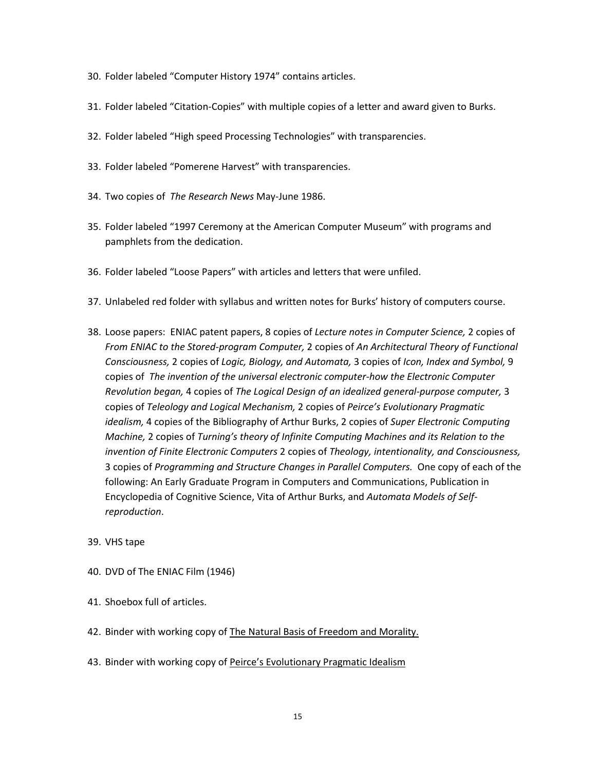- 30. Folder labeled "Computer History 1974" contains articles.
- 31. Folder labeled "Citation-Copies" with multiple copies of a letter and award given to Burks.
- 32. Folder labeled "High speed Processing Technologies" with transparencies.
- 33. Folder labeled "Pomerene Harvest" with transparencies.
- 34. Two copies of *The Research News* May-June 1986.
- 35. Folder labeled "1997 Ceremony at the American Computer Museum" with programs and pamphlets from the dedication.
- 36. Folder labeled "Loose Papers" with articles and letters that were unfiled.
- 37. Unlabeled red folder with syllabus and written notes for Burks' history of computers course.
- 38. Loose papers: ENIAC patent papers, 8 copies of *Lecture notes in Computer Science,* 2 copies of *From ENIAC to the Stored-program Computer,* 2 copies of *An Architectural Theory of Functional Consciousness,* 2 copies of *Logic, Biology, and Automata,* 3 copies of *Icon, Index and Symbol,* 9 copies of *The invention of the universal electronic computer-how the Electronic Computer Revolution began,* 4 copies of *The Logical Design of an idealized general-purpose computer,* 3 copies of *Teleology and Logical Mechanism,* 2 copies of *Peirce's Evolutionary Pragmatic idealism,* 4 copies of the Bibliography of Arthur Burks, 2 copies of *Super Electronic Computing Machine,* 2 copies of *Turning's theory of Infinite Computing Machines and its Relation to the invention of Finite Electronic Computers* 2 copies of *Theology, intentionality, and Consciousness,* 3 copies of *Programming and Structure Changes in Parallel Computers.* One copy of each of the following: An Early Graduate Program in Computers and Communications, Publication in Encyclopedia of Cognitive Science, Vita of Arthur Burks, and *Automata Models of Selfreproduction*.
- 39. VHS tape
- 40. DVD of The ENIAC Film (1946)
- 41. Shoebox full of articles.
- 42. Binder with working copy of The Natural Basis of Freedom and Morality.
- 43. Binder with working copy of Peirce's Evolutionary Pragmatic Idealism